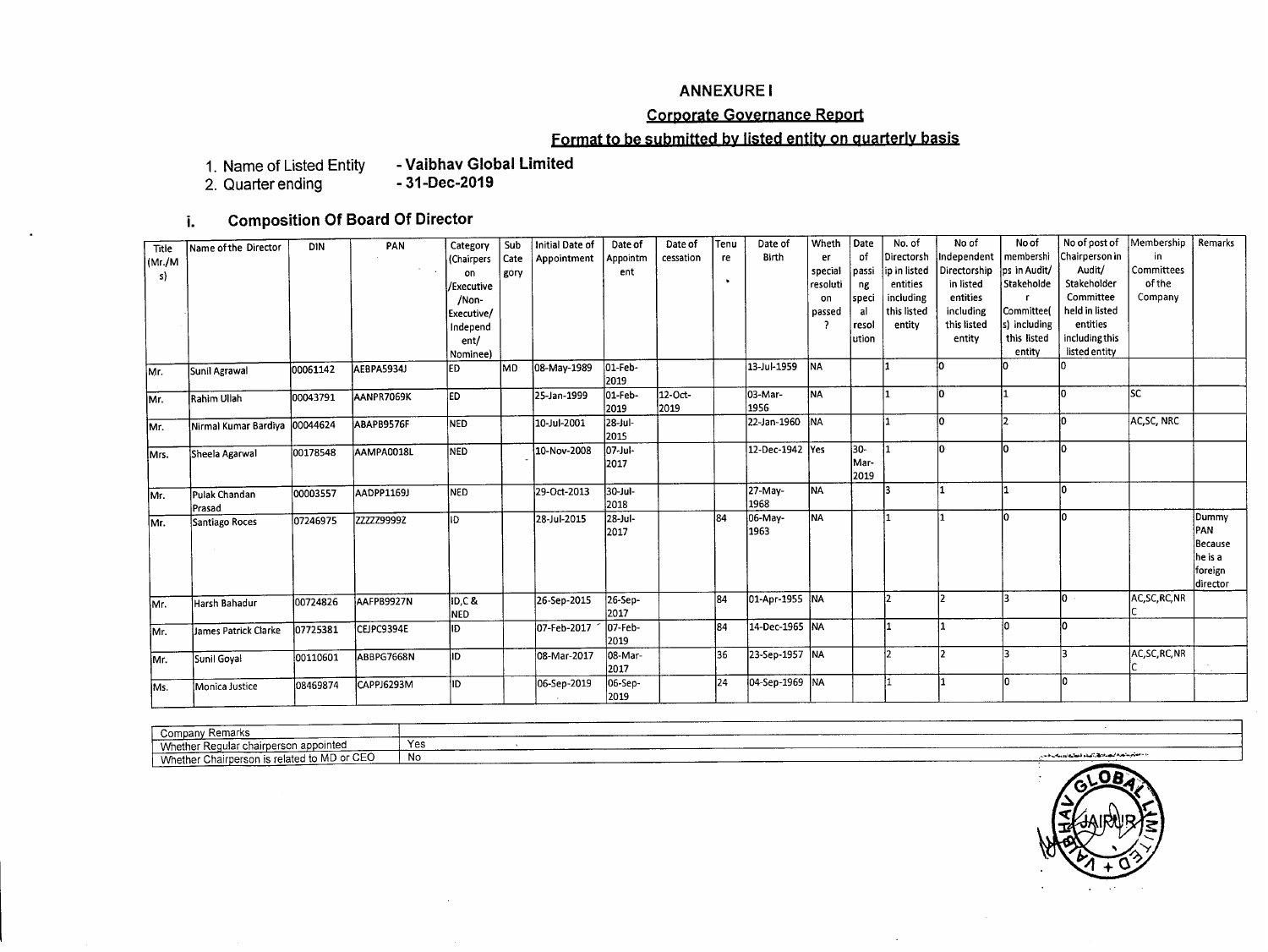### ANNEXURE I

## **Corporate Goyernance Report**

## **Format to be sybmitted by listed entity on quarterly basis**

1. **Name of Listed Entity - Vaibhav Global limited**

2. **Quarter ending - 31-Dec-2019**

# **i. Composition Of Board Of Director**

| Title  | Name of the Director            | <b>DIN</b> | PAN               | Category          | Sub  | Initial Date of | Date of         | Date of   | Tenú      | Date of         | Wheth     | Date  | No. of       | No of        | No of        | No of post of  | Membership     | Remarks   |
|--------|---------------------------------|------------|-------------------|-------------------|------|-----------------|-----------------|-----------|-----------|-----------------|-----------|-------|--------------|--------------|--------------|----------------|----------------|-----------|
| (Mr/M) |                                 |            |                   | <b>(Chairpers</b> | Cate | Appointment     | Appointm        | cessation | re        | Birth           | er        | of    | Directorsh   | ndependent   | membershi    | Chairperson in | in.            |           |
| s)     |                                 |            |                   | on                | gory |                 | ent             |           |           |                 | special   | passi | ip in listed | Directorship | ps in Audit/ | Audit/         | l Committees   |           |
|        |                                 |            |                   | /Executive        |      |                 |                 |           | $\bullet$ |                 | resoluti  | ng    | entities     | in listed    | Stakeholde   | Stakeholder    | of the         |           |
|        |                                 |            |                   | /Non-             |      |                 |                 |           |           |                 | on        | speci | including    | entities     |              | Committee      | Company        |           |
|        |                                 |            |                   | Executive/        |      |                 |                 |           |           |                 | passed    | -al   | this listed  | including    | Committee(   | held in listed |                |           |
|        |                                 |            |                   | Independ          |      |                 |                 |           |           |                 |           | resol | entity       | this listed  | s) including | entities       |                |           |
|        |                                 |            |                   | ent/              |      |                 |                 |           |           |                 |           | ution |              | entity       | this listed  | including this |                |           |
|        |                                 |            |                   | Nominee)          |      |                 |                 |           |           |                 |           |       |              |              | entity       | listed entity  |                |           |
| Mr.    | Sunil Agrawal                   | 00061142   | AEBPA5934J        | led               | lmd. | 08-May-1989     | 01-Feb-         |           |           | 13-Jul-1959     | <b>NA</b> |       |              | l۵           |              |                |                |           |
|        |                                 |            |                   |                   |      |                 | 2019            |           |           |                 |           |       |              |              |              |                |                |           |
| İMr.   | Rahim Ullah                     | 00043791   | AANPR7069K        | ED.               |      | 25-Jan-1999     | 01-Feb-         | 12-Oct-   |           | 03-Mar-         | <b>NA</b> |       | 1            | İО           |              | l∩             | lsc            |           |
|        |                                 |            |                   |                   |      |                 | 2019            | 2019      |           | 1956            |           |       |              |              |              |                |                |           |
| Mr.    | Nirmal Kumar Bardiya   00044624 |            | ABAPB9576F        | <b>I</b> NED      |      | 10-Jul-2001     | 28-Jul-<br>2015 |           |           | 22-Jan-1960 NA  |           |       | ł٦           | l٥           |              | ۱n             | AC, SC, NRC    |           |
| lMrs.  | Sheela Agarwal                  | 00178548   | AAMPA0018L        | Ined              |      | 10-Nov-2008     | 07-Jul-         |           |           | 12-Dec-1942 Yes |           | 30-   | I1           | ١n           |              |                |                |           |
|        |                                 |            |                   |                   |      |                 | 2017            |           |           |                 |           | Mar-  |              |              |              |                |                |           |
|        |                                 |            |                   |                   |      |                 |                 |           |           |                 |           | 2019  |              |              |              |                |                |           |
| Mr.    | Pulak Chandan                   | 00003557   | <b>AADPP1169J</b> | NED               |      | 29-Oct-2013     | 30-Jul-         |           |           | 27-May-         | <b>NA</b> |       |              |              |              | l∩             |                |           |
|        | Prasad                          |            |                   |                   |      |                 | 2018            |           |           | 1968            |           |       |              |              |              |                |                |           |
| lMr.   | Santiago Roces                  | 07246975   | ZZZZZ99992        | ID                |      | 28-Jul-2015     | 28-Jul-         |           | 84        | 06-May-         | NA.       |       | I1           |              |              |                |                | Dummy     |
|        |                                 |            |                   |                   |      |                 | 2017            |           |           | 1963            |           |       |              |              |              |                |                | PAN       |
|        |                                 |            |                   |                   |      |                 |                 |           |           |                 |           |       |              |              |              |                |                | Because   |
|        |                                 |            |                   |                   |      |                 |                 |           |           |                 |           |       |              |              |              |                |                | he is a   |
|        |                                 |            |                   |                   |      |                 |                 |           |           |                 |           |       |              |              |              |                |                | foreign   |
|        |                                 |            |                   |                   |      |                 |                 |           |           |                 |           |       |              |              |              |                |                | ldirector |
| IMr.   | Harsh Bahadur                   | 00724826   | AAFPB9927N        | ID.C&             |      | 26-Sep-2015     | 26-Sep-         |           | 84        | 01-Apr-1955 NA  |           |       | 12           |              |              | lo.            | AC, SC, RC, NR |           |
|        |                                 |            |                   | <b>NED</b>        |      |                 | 2017            |           |           |                 |           |       |              |              |              |                |                |           |
| Mr.    | James Patrick Clarke            | 07725381   | CEJPC9394E        | ID                |      | 07-Feb-2017     | l07-Feb-        |           | 184       | 14-Dec-1965 NA  |           |       |              |              | n            |                |                |           |
|        |                                 |            |                   |                   |      |                 | 2019            |           |           |                 |           |       |              |              |              |                |                |           |
| IMr.   | Sunil Goval                     | 00110601   | ABBPG7668N        | lıd.              |      | 08-Mar-2017     | 08-Mar-         |           | 36        | 23-Sep-1957 NA  |           |       | l٦           | I٦           | Þ            |                | AC, SC, RC, NR |           |
|        |                                 |            |                   |                   |      |                 | 2017            |           |           |                 |           |       |              |              |              |                |                |           |
| Ms.    | Monica Justice                  | 08469874   | CAPPJ6293M        | ID                |      | 06-Sep-2019     | 06-Sep-         |           | 24        | 04-Sep-1969 NA  |           |       |              |              | ln.          |                |                |           |
|        |                                 |            |                   |                   |      |                 | 2019            |           |           |                 |           |       |              |              |              |                |                |           |

| Company Remarks<br>. טש                                                                |                   | <b>The Second Company's Company's Company's Company's Company's Company's Company's Company's Company's Company's</b> |
|----------------------------------------------------------------------------------------|-------------------|-----------------------------------------------------------------------------------------------------------------------|
| airperson appointec<br>Whether<br>har Regular chairne                                  | $V_{\alpha}$<br>. | __________                                                                                                            |
| $\sim$ or $\sim$ $\sim$ $\sim$<br>Whether Chairperson is related to MD of<br>NU 01 CEO | - 11<br>- NO      | والمستعجب والمصراء كمستقل المتكل المتعاليك كالادوان والمسرور<br>and the company would be                              |
|                                                                                        |                   |                                                                                                                       |

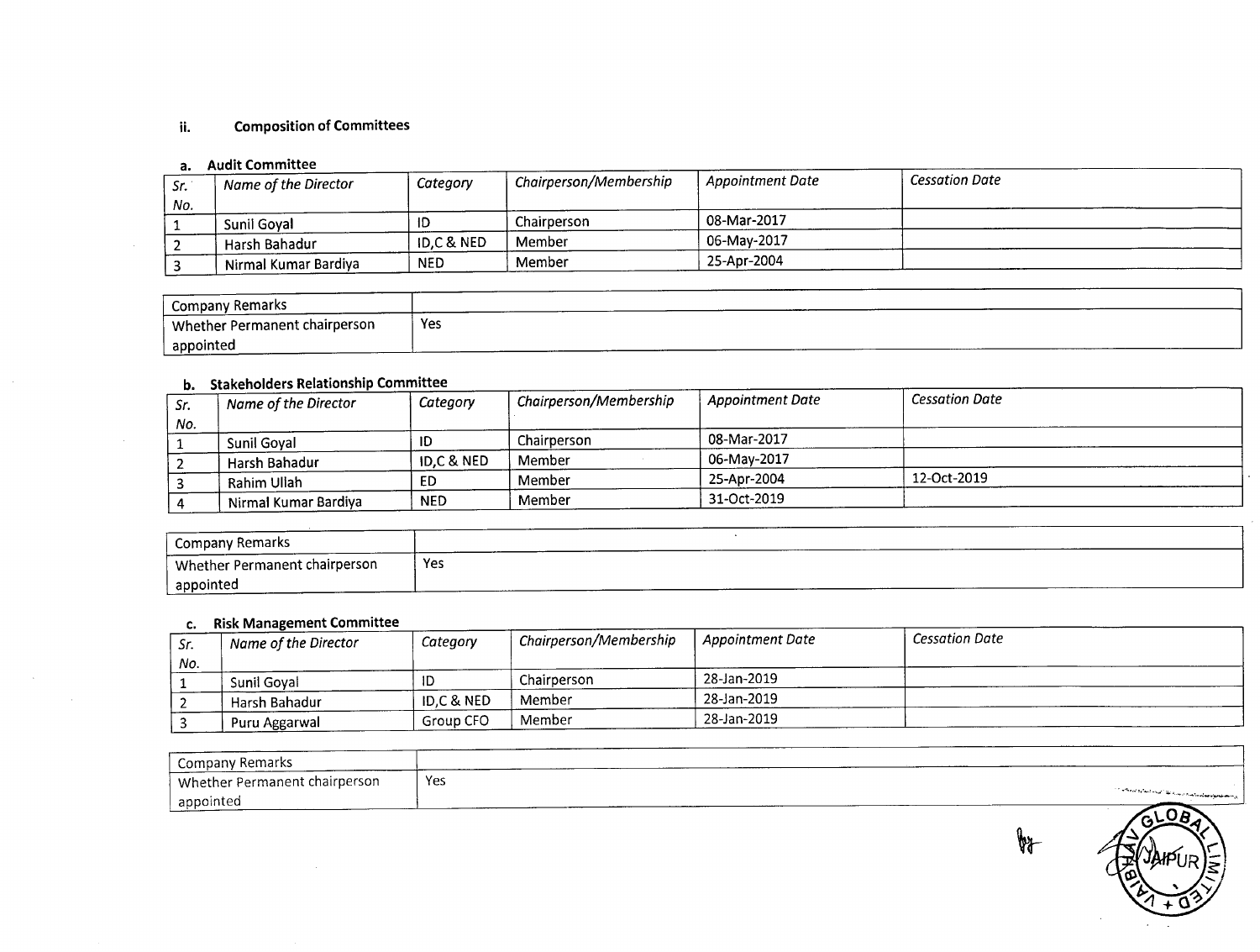### ii. Composition of Committees

#### a. Audit Committee

 $\sim$ 

 $\sim 10^7$ 

|     | $\mathbf{u}$ , received the second contract of $\mathbf{v}$ |                       |                        |                               |                       |
|-----|-------------------------------------------------------------|-----------------------|------------------------|-------------------------------|-----------------------|
| Sr. | Name of the Director                                        | Category              | Chairperson/Membership | <sup>1</sup> Appointment Date | <b>Cessation Date</b> |
| No. |                                                             |                       |                        |                               |                       |
|     | Sunil Goval                                                 | ID                    | Chairperson            | 08-Mar-2017                   |                       |
|     | Harsh Bahadur                                               | <b>ID,C &amp; NED</b> | Member                 | 06-Mav-2017                   |                       |
|     | ' Nirmal Kumar Bardiya                                      | <b>NED</b>            | Member                 | 25-Apr-2004                   |                       |

| ∕ Remark∙<br>Company          |     |
|-------------------------------|-----|
| Whether Permanent chairperson | Yes |
| appointed                     |     |

### b. Stakeholders Relationship Committee

| Sr. | $\mathbf{u}$ , $\mathbf{v}$ , $\mathbf{u}$ , $\mathbf{v}$ , $\mathbf{v}$ , $\mathbf{v}$ , $\mathbf{v}$ , $\mathbf{v}$ , $\mathbf{v}$ , $\mathbf{v}$ , $\mathbf{v}$ , $\mathbf{v}$ , $\mathbf{v}$ , $\mathbf{v}$ , $\mathbf{v}$ , $\mathbf{v}$ , $\mathbf{v}$ , $\mathbf{v}$ , $\mathbf{v}$ , $\mathbf{v}$ , $\mathbf{v}$ , $\mathbf{v}$ ,<br>Name of the Director | Category              | <b>Chairperson/Membership</b> | Appointment Date | <b>Cessation Date</b> |
|-----|-------------------------------------------------------------------------------------------------------------------------------------------------------------------------------------------------------------------------------------------------------------------------------------------------------------------------------------------------------------------|-----------------------|-------------------------------|------------------|-----------------------|
| No. |                                                                                                                                                                                                                                                                                                                                                                   |                       |                               |                  |                       |
|     | <b>Sunil Goval</b>                                                                                                                                                                                                                                                                                                                                                | שו                    | Chairperson                   | 08-Mar-2017      |                       |
|     | Harsh Bahadur                                                                                                                                                                                                                                                                                                                                                     | <b>ID.C &amp; NED</b> | Member                        | 06-Mav-2017      |                       |
|     | Rahim Ullah                                                                                                                                                                                                                                                                                                                                                       | ED                    | Member                        | 25-Apr-2004      | 12-Oct-2019           |
|     | Nirmal Kumar Bardiya                                                                                                                                                                                                                                                                                                                                              | <b>NED</b>            | Member                        | 31-Oct-2019      |                       |

| Company Remarks               |     |
|-------------------------------|-----|
| Whether Permanent chairperson | Yes |
| appointed                     |     |

#### c. RiskManagement Committee

| Sr. | Name of the Director | Category              | <sup>1</sup> Chairperson/Membership | <b>Appointment Date</b> | Cessation Date |
|-----|----------------------|-----------------------|-------------------------------------|-------------------------|----------------|
| No. |                      |                       |                                     |                         |                |
|     | Sunil Goval          |                       | Chairperson                         | 28-Jan-2019             |                |
|     | Harsh Bahadur        | <b>ID.C &amp; NED</b> | Member                              | 28-Jan-2019             |                |
|     | Puru Aggarwal        | Group CFO             | Member                              | 28-Jan-2019             |                |

| Company Remarks               |                                                                                                                                           |
|-------------------------------|-------------------------------------------------------------------------------------------------------------------------------------------|
| Whether Permanent chairperson | Yes                                                                                                                                       |
| appointed                     | المراد والمستقبل والمستقصات والمستقبل والمرادي والمستقبل والمتعارف والمتعارف والمستقبل والمتعارض والمتعارض والمتعارض<br>_______<br>$\sim$ |



**by**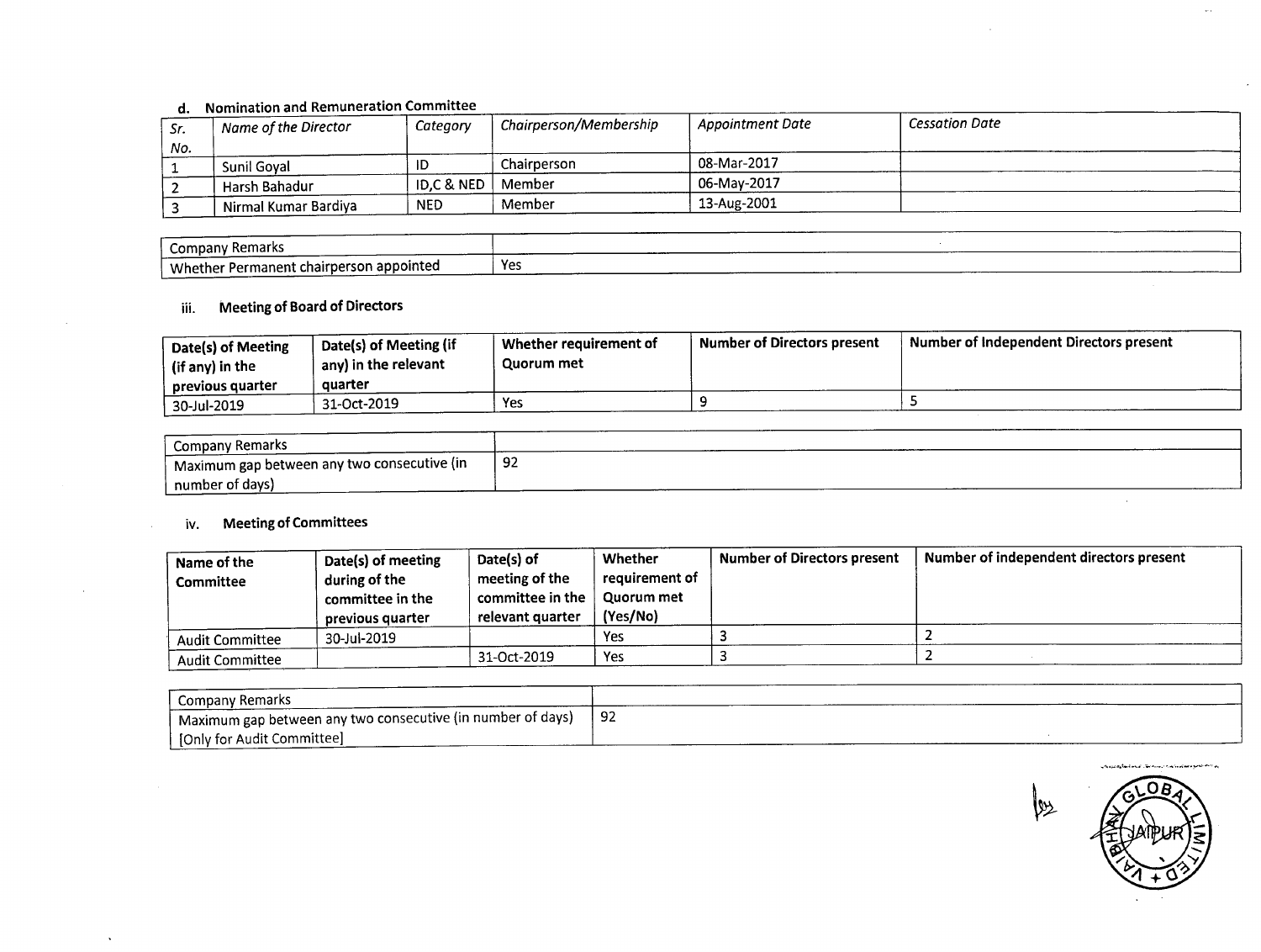## d. Nomination and Remuneration Committee

| .<br>Sr. | <sup>1</sup> Name of the Director | Category                                 | <sup>'</sup> Chairperson/Membership | <sup>1</sup> Appointment Date | <b>Cessation Date</b> |
|----------|-----------------------------------|------------------------------------------|-------------------------------------|-------------------------------|-----------------------|
| No.      |                                   |                                          |                                     |                               |                       |
|          | Sunil Goval                       | ID                                       | Chairperson                         | 08-Mar-2017                   |                       |
|          | Harsh Bahadur                     | $\binom{1}{2}$ ID,C & NED $\binom{1}{2}$ | Member                              | 06-Mav-2017                   |                       |
|          | <sup>1</sup> Nirmal Kumar Bardiya | <b>NED</b>                               | Member                              | 13-Aug-2001                   |                       |

| Remark<br>Compan <sup>.</sup>                                      |     |  |      | ________ |
|--------------------------------------------------------------------|-----|--|------|----------|
| erson appointed<br>Whether<br>hairpe?<br>nanent cha<br><b>Darm</b> | Yes |  | ---- |          |

# iii. Meeting of Board of Directors

| Date(s) of Meeting<br>(if any) in the<br>previous quarter | Date(s) of Meeting (if<br>any) in the relevant<br>quarter | Whether requirement of<br>Quorum met | <b>Number of Directors present</b> | Number of Independent Directors present |
|-----------------------------------------------------------|-----------------------------------------------------------|--------------------------------------|------------------------------------|-----------------------------------------|
| 30-Jul-2019                                               | 31-Oct-2019                                               | Yes                                  |                                    |                                         |

| <b>Company Remarks</b>                                   |     |
|----------------------------------------------------------|-----|
| <sup>1</sup> Maximum gap between any two consecutive (in | -92 |
| number of days)                                          |     |

## iv. Meeting of Committees

| Name of the<br><b>Committee</b> | Date(s) of meeting<br>during of the<br>committee in the<br>previous quarter | Date(s) of<br>meeting of the<br>committee in the $\parallel$<br>relevant quarter | Whether<br>reauirement of<br>Quorum met<br>(Yes/No) | <b>Number of Directors present</b> | Number of independent directors present |
|---------------------------------|-----------------------------------------------------------------------------|----------------------------------------------------------------------------------|-----------------------------------------------------|------------------------------------|-----------------------------------------|
| Audit Committee                 | 30-Jul-2019                                                                 |                                                                                  | Yes                                                 |                                    |                                         |
| <b>Audit Committee</b>          |                                                                             | 31-Oct-2019                                                                      | Yes                                                 |                                    |                                         |

| Company Remarks                                                          |     |  |
|--------------------------------------------------------------------------|-----|--|
| <sup>1</sup> Maximum gap between any two consecutive (in number of days) | -92 |  |
| [Only for Audit Committee]                                               |     |  |